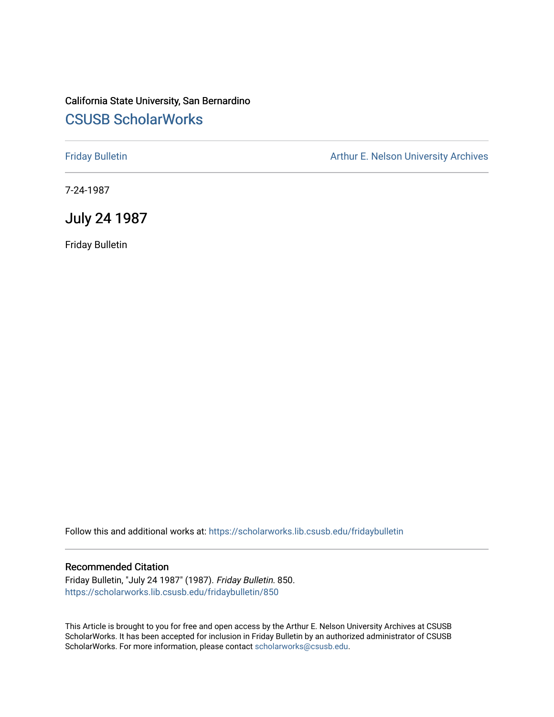# California State University, San Bernardino [CSUSB ScholarWorks](https://scholarworks.lib.csusb.edu/)

[Friday Bulletin](https://scholarworks.lib.csusb.edu/fridaybulletin) **Arthur E. Nelson University Archives** Arthur E. Nelson University Archives

7-24-1987

# July 24 1987

Friday Bulletin

Follow this and additional works at: [https://scholarworks.lib.csusb.edu/fridaybulletin](https://scholarworks.lib.csusb.edu/fridaybulletin?utm_source=scholarworks.lib.csusb.edu%2Ffridaybulletin%2F850&utm_medium=PDF&utm_campaign=PDFCoverPages)

### Recommended Citation

Friday Bulletin, "July 24 1987" (1987). Friday Bulletin. 850. [https://scholarworks.lib.csusb.edu/fridaybulletin/850](https://scholarworks.lib.csusb.edu/fridaybulletin/850?utm_source=scholarworks.lib.csusb.edu%2Ffridaybulletin%2F850&utm_medium=PDF&utm_campaign=PDFCoverPages)

This Article is brought to you for free and open access by the Arthur E. Nelson University Archives at CSUSB ScholarWorks. It has been accepted for inclusion in Friday Bulletin by an authorized administrator of CSUSB ScholarWorks. For more information, please contact [scholarworks@csusb.edu.](mailto:scholarworks@csusb.edu)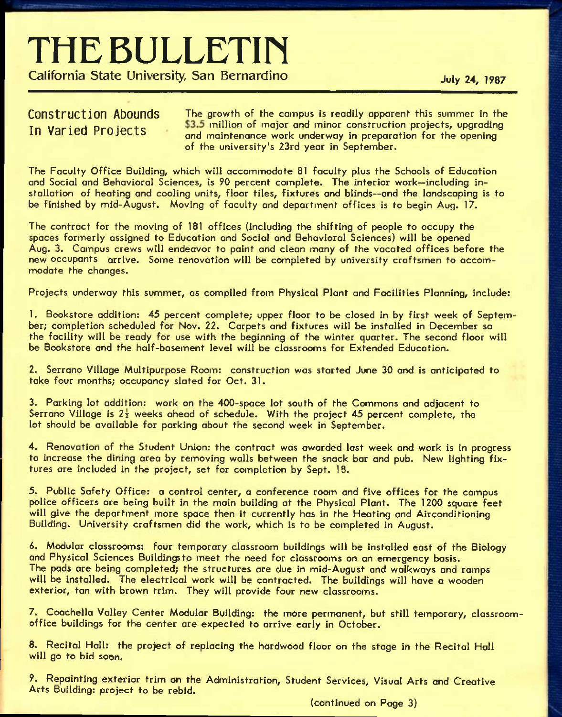# **THE BULLETIH**

**California State University, San Bernardino** *July 24, 1987* 

Construction Abounds The growth of the campus is readily apparent this summer in the In Varied Projects 53.5 million of major and minor construction projects, upgrading and maintenance work underway in preparation for the opening of the university's 23rd year in September.

The Faculty Office Building, which will accommodate 81 faculty plus the Schools of Education and Social and Behavioral Sciences, is 90 percent complete. The interior work—including installation of heating and cooling units, floor tiles, fixtures and blinds—and the landscaping is to be finished by mid-August. Moving of faculty and department offices is to begin Aug. 17.

The contract for the moving of 181 offices (including the shifting of people to occupy the spaces formerly assigned to Education and Social and Behavioral Sciences) will be opened Aug, 3. Campus crews will endeavor to paint and clean many of the vacated offices before the new occupants arrive. Some renovation will be completed by university craftsmen to accommodate the changes.

Projects underway this summer, as compiled from Physical Plant and Facilities Planning, include:

1. Bookstore addition: 45 percent complete; upper floor to be closed in by first week of September; completion scheduled for Nov. 22. Carpets and fixtures will be installed in December so the facility will be ready for use with the beginning of the winter quarter. The second floor will be Bookstore and the half-basement level will be classrooms for Extended Education.

2. Serrano Village Multipurpose Room: construction was started June 30 and is anticipated to take four months; occupancy slated for Oct. 31.

3. Parking lot addition: work on the 400-space lot south of the Commons and adjacent to Serrano Village is  $2\frac{1}{2}$  weeks ahead of schedule. With the project 45 percent complete, the lot should be available for parking about the second week in September.

4. Renovation of the Student Union: the contract was awarded last week and work is in progress to increase the dining area by removing walls between the snack bar and pub. New lighting fixtures are included in the project, set for completion by Sept. 18.

5. Public Safety Office: *a* control center, *a* conference room and five offices for the campus police officers are being built in the main building at the Physical Plant. The 1200 square feet will give the department more space then it currently has in the Heating and Airconditioning Building. University craftsmen did the work, which is to be completed in August.

*6.* Modular classrooms: four temporary classroom buildings will be installed east of the Biology and Physical Sciences Buildings to meet the need for classrooms on an emergency basis. The pads are being completed; the structures are due in mid-August and walkways and ramps will be installed. The electrical work will be contracted. The buildings will have a wooden exterior, tan with brown trim. They will provide four new classrooms.

7. Coochella Valley Center Modular Building: the more permanent, but still temporary, classroomoffice buildings for the center are expected to arrive early in October.

8. Recital Hall: the project of replacing the hardwood floor on the stage in the Recital Hall will go to bid soon.

9. Repainting exterior trim on the Administration, Student Services, Visual Arts and Creative Arts Building: project to be rebid.

(continued on Page 3)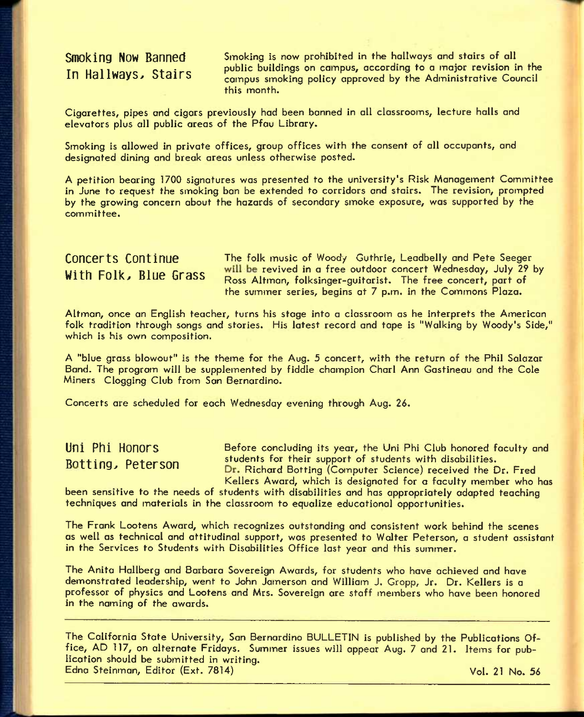**Smoking Now Banned Smoking is now prohibited in the hallways and stairs of all** In Hallways, Stairs and public buildings on campus, according to a major revision in the campus smoking policy approved by the Administrative Council this month.

Cigarettes, pipes and cigars previously had been banned In all classrooms, lecture halls and elevators plus all public areas of the Pfou Library.

Smoking is allowed In private offices, group offices with the consent of all occupants, and designated dining and break areas unless otherwise posted.

A petition bearing 1700 signatures was presented to the university's Risk Management Committee in June to request the smoking ban be extended to corridors and stairs. The revision, prompted by the growing concern about the hazards of secondary smoke exposure, was supported by the committee.

**Concerts Continue** The folk music of Woody Guthrie, Leadbelly and Pete Seeger With Folk, Blue Grass will be revived in a free outdoor concert Wednesday, July 29 by Ross Altman, folksinger-guitarist. The free concert, part of the summer series, begins at 7 p.m. In the Commons Plaza.

Altman, once an English teacher, turns his stage into a classroom as he interprets the American folk tradition through songs and stories. His latest record and tape is "Walking by Woody's Side," which is his own composition.

A "blue grass blowout" is the theme for the Aug. 5 concert, with the return of the Phil Salazar Band. The program will be supplemented by fiddle champion Charl Ann Gastineau and the Cole Miners Clogging Club from Son Bernardino.

Concerts are scheduled for each Wednesday evening through Aug. 26.

Uni Phi Honors **Before concluding its year, the Uni Phi Club honored faculty and** Rotting, Peterson students for their support of students with disabilities. Dr. Richard Botting (Computer Science) received the Dr. Fred Kellers Award, which is designated for a faculty member who has

been sensitive to the needs of students with disabilities and has appropriately adapted teaching techniques and materials In the classroom to equalize educational opportunities.

The Frank Lootens Award, which recognizes outstanding and consistent work behind the scenes as well as technical and attitudinal support, was presented to Walter Peterson, a student assistant in the Services to Students with Disabilities Office last year and this summer.

The Anita Hallberg and Barbara Sovereign Awards, for students who have achieved and have demonstrated leadership, went to John Jamerson and William J. Gropp, Jr. Dr. Kellers is a professor of physics and Lootens and Mrs. Sovereign are staff members who have been honored in the naming of the awards.

The California State University, San Bernardino BULLETIN Is published by the Publications Office, AD 117, on alternate Fridays. Summer issues will appear Aug. 7 and 21. Items for publication should be submitted in writing. Edna Steinman, Editor (Ext. 7814) College and College and College and College and College and College and College and College and College and College and College and College and College and College and College and College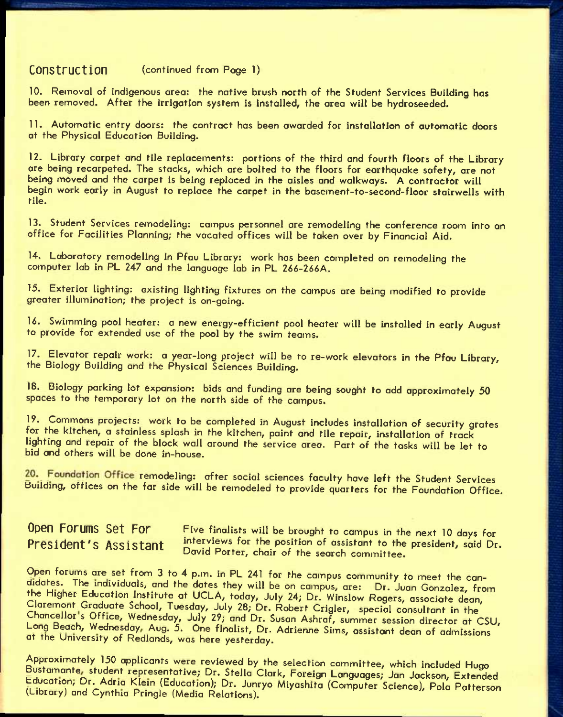## **Construction** (continued from Page 1)

10. Removal of indigenous area: the native brush north of the Student Services Building has been removed. After the irrigation system is installed, the area will be hydroseeded.

11. Automatic entry doors: the contract has been awarded for installation of automatic doors at the Physical Education Building.

12. Library carpet and tile replacements: portions of the third and fourth floors of the Library are being recarpeted. The stacks, which are bolted to the floors for earthquake safety, are not being moved and the carpet is being replaced in the aisles and walkways. A contractor will begin work early in August to replace the carpet in the basement-to-second-floor stairwells with tile.

13. Student Services remodeling: campus personnel are remodeling the conference room into an office for Facilities Planning; the vacated offices will be taken over by Financial Aid.

14. Laboratory remodeling in Pfau Library: work has been completed on remodeling the computer lab in PL 247 and the language lab in PL 266-266A,

15. Exterior lighting: existing lighting fixtures on the campus ore being modified to provide greater illumination; the project is on-going.

U. Swimming pool heater: *a* new energy-efficient pool heater will be installed in early August to provide for extended use of the pool by the swim teams.

17. Elevator repair work: a year-long project will be to re-work elevators in the Pfau Library, the Biology Building and the Physical Sciences Building.

18. Biology parking lot expansion: bids and funding are being sought to add approximately 50 spaces to the temporary lot on the north side of the campus.

19. Commons projects: work to be completed in August includes installation of security grates for the kitchen, a stainless splash in the kitchen, paint and tile repair, installation of track lighting and repair of the block wall around the service area. Part of the tasks will be let to bid and others will be done in-house.

20. Foundation Office remodeling: after social sciences faculty have left the Student Services Building, offices on the far side will be remodeled to provide quarters for the Foundation Office.

**Open Forums Set For Five finalists will be brought to campus in the next 10 days for** President's Assistant interviews for the position of assistant to the president, said Dr. David Porter, chair of the search committee.

Open forums are set from 3 to 4 p.m. in PL 241 for the campus community to meet the condidotes. The individuals, and the dates they will be on campus, are: Dr. Juan Gonzalez, from the Higher Education Institute at UCLA, today, July 24; Dr. Winslow Rogers, associate dean, Claremont Graduate School, Tuesday, July 28; Dr. Robert Crigler, special consultant in the Chancellor's Office, Wednesday, July 29; and Dr. Susan Ashraf, summer session director at CSU. Long Beach, Wednesday, Aug. 5. One finalist, Dr. Adrienne Sims, assistant dean of admissions at the University of Redlonds, was here yesterday.

Approximately 150 applicants were reviewed by the selection committee, which included Hugo Bustamante, student representative; Dr. Stella Clark, Foreign Languages; Jan Jackson, Extended Education, Dr. Adria Klein (Education); Dr. Junryo Miyoshita (Computer Science), Polo Patterson (Library) and Cynthia Pringle (Media Relations).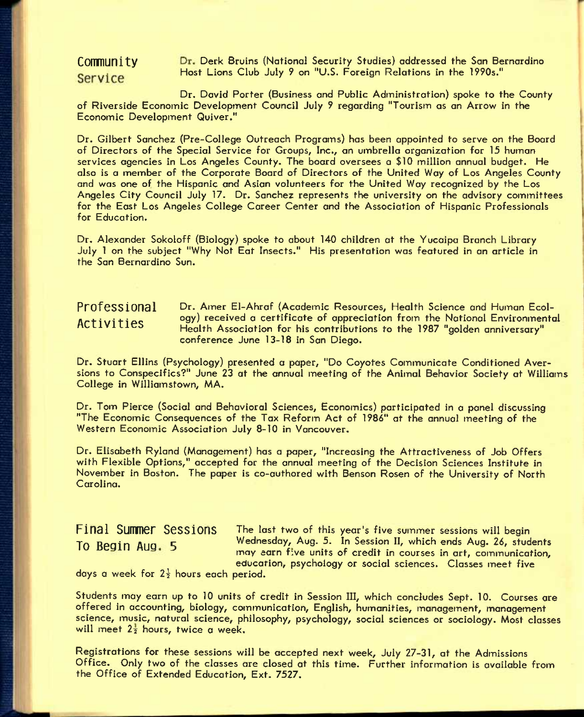# Service

Community Dr. Derk Bruins (National Security Studies) addressed the San Bernardino Host Lions Club July *9* on "U.S. Foreign Relations in the 1990s."

Dr. David Porter (Business and Public Administration) spoke to the County of Riverside Economic Development Council July 9 regarding "Tourism as an Arrow in the Economic Development Quiver,"

Dr. Gilbert Sanchez (Pre-College Outreach Programs) has been appointed to serve on the Board of Directors of the Special Service for Groups, Inc., an umbrella organization for 15 human services agencies in Los Angeles County. The board oversees a \$10 million annual budget. He also is a member of the Corporate Board of Directors of the United Way of Los Angeles County and was one of the Hispanic and Asian volunteers for the United Way recognized by the Los Angeles City Council July 17. Dr. Sanchez represents the university on the advisory committees for the East Los Angeles College Career Center and the Association of Hispanic Professionals for Education.

Dr. Alexander Sokoloff (Biology) spoke to about 140 children at the Yucaipa Branch Library July 1 on the subject "Why Not Eat Insects." His presentation was featured in an article in the San Bernardino Sun.

# **Professional Activities**

Dr. Amer El-Ahraf (Academic Resources, Health Science and Human Ecology) received a certificate of appreciation from the National Environmental Health Association for his contributions to the 1987 "golden anniversary" conference June 13-18 in San Diego.

Dr. Stuart Ellins (Psychology) presented a paper, "Do Coyotes Communicate Conditioned Aversions to Conspecifics?" June 23 at the annual meeting of the Animal Behavior Society at Williams College in Williamstown, MA.

Dr. Tom Pierce (Social and Behavioral Sciences, Economics) participated in a panel discussing "The Economic Consequences of the Tax Reform Act of 1986" at the annual meeting of the Western Economic Association July 8-10 in Vancouver.

Dr. Elisabeth Ryland (Management) has a paper, "Increasing the Attractiveness of Job Offers with Flexible Options," accepted for the annual meeting of the Decision Sciences Institute in November in Boston. The paper is co-authored with Benson Rosen of the University of North Carolina.

**Final Sumner Sessions** The last two of this year's five summer sessions will begin **To Beoin** AUQ **5** Wednesday, Aug. 5. In Session II, which ends Aug. 26, students may earn five units of credit in courses in art, communication, educarion, psychology or social sciences. Classes meet five

days a week for  $2\frac{1}{2}$  hours each period.

Students may earn up to 10 units of credit in Session III, which concludes Sept. 10. Courses are offered in accounting, biology, communication, English, humanities, management, management science, music, natural science, philosophy, psychology, social sciences or sociology. Most classes will meet  $2\frac{1}{2}$  hours, twice a week.

Registrations for these sessions will be accepted next week, July 27-31, at the Admissions Office. Only two of the classes are closed at this time. Further information is available from the Office of Extended Education, Ext. 7527.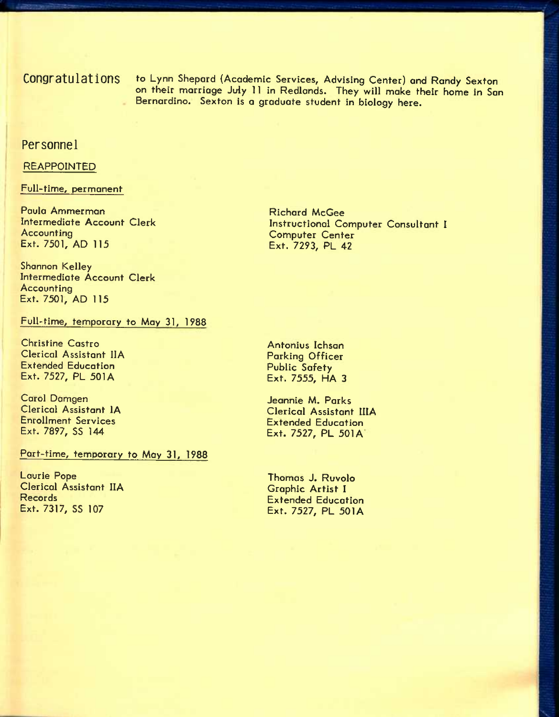**Congratulations** to Lynn Shepard {Academic Services, Advising Center) and Randy Sexton on their marriage July 11 in Redlands. They will make their home in San Bernardino. Sexton is a graduate student in biology here.

### **Personnel**

### REAPPOINTED

# Full-time, permanent

Paula Ammerman Intermediate Account Clerk Accounting Ext. 7501, AD 115

Shannon Kelley Intermediate Account Clerk **Accounting** Ext. 7501, AD 115

Full-time, temporary to May 31, 1988

Christine Castro Clerical Assistant IIA Extended Education Ext. 7527, PL 501A

Carol Damgen Clerical Assistant lA Enrollment Services Ext. 7897, SS 144

Part-time, temporary to Moy 31, 1988

Laurie Pope Clerical Assistant IIA Records Ext. 7317, SS 107

Richard McGee Instructional Computer Consultant I Computer Center Ext. 7293, PL 42

Antonius Ichson Parking Officer Public Safety Ext. 7555, HA 3

Jeannie M. Parks Clerical Assistant IIIA Extended Education Ext. 7527, PL 501A

Thomas J. Ruvolo Graphic Artist I Extended Education Ext. 7527, PL 501A